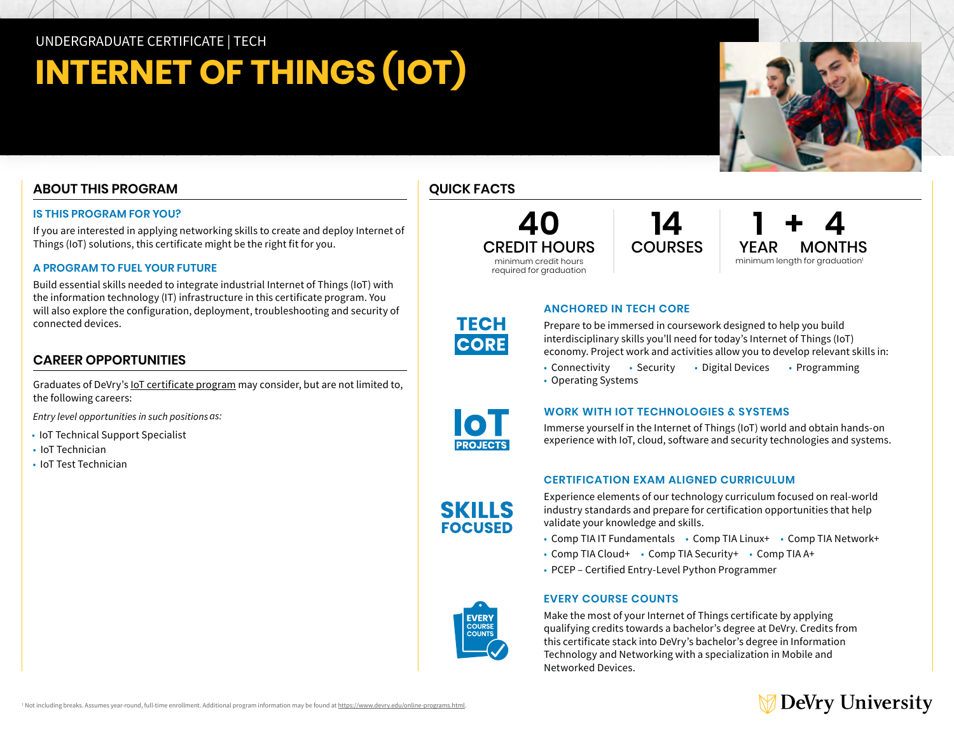## UNDERGRADUATE CERTIFICATE | TECH

# **INTERNET OF THINGS (IOT)**

## **ABOUT THIS PROGRAM**

#### **IS THIS PROGRAM FOR YOU?**

If you are interested in applying networking skills to create and deploy Internet of Things (IoT) solutions, this certificate might be the right fit for you.

#### **A PROGRAM TO FUEL YOUR FUTURE**

Build essential skills needed to integrate industrial Internet of Things (IoT) with the information technology (IT) infrastructure in this certificate program. You will also explore the configuration, deployment, troubleshooting and security of connected devices.

### **CAREER OPPORTUNITIES**

Graduates of DeVry's [IoT certificate program](https://www.devry.edu/online-programs/undergraduate-certificates/internet-of-things.html) may consider, but are not limited to, the following careers:

*Entry level opportunities in such positions as:* 

- IoT Technical Support Specialist
- IoT Technician
- IoT Test Technician



**40** CREDIT HOURS minimum credit hours required for graduation

**14** COURSES **1 + 4** YEAR MONTHS minimum length for graduation<sup>1</sup>

## **ANCHORED IN TECH CORE**

Prepare to be immersed in coursework designed to help you build interdisciplinary skills you'll need for today's Internet of Things (IoT) economy. Project work and activities allow you to develop relevant skills in:

- Connectivity Security Digital Devices Programming
- Operating Systems



**SKILLS FOCUSED** 

**TECH CORE** 

#### **WORK WITH IOT TECHNOLOGIES & SYSTEMS**

Immerse yourself in the Internet of Things (IoT) world and obtain hands-on experience with IoT, cloud, software and security technologies and systems.

#### **CERTIFICATION EXAM ALIGNED CURRICULUM**

Experience elements of our technology curriculum focused on real-world industry standards and prepare for certification opportunities that help validate your knowledge and skills.

- Comp TIA IT Fundamentals Comp TIA Linux+ Comp TIA Network+
- Comp TIA Cloud+ Comp TIA Security+ Comp TIA A+
- PCEP Certified Entry-Level Python Programmer

#### **EVERY COURSE COUNTS**

Make the most of your Internet of Things certificate by applying qualifying credits towards a bachelor's degree at DeVry. Credits from this certificate stack into DeVry's bachelor's degree in Information Technology and Networking with a specialization in Mobile and Networked Devices.